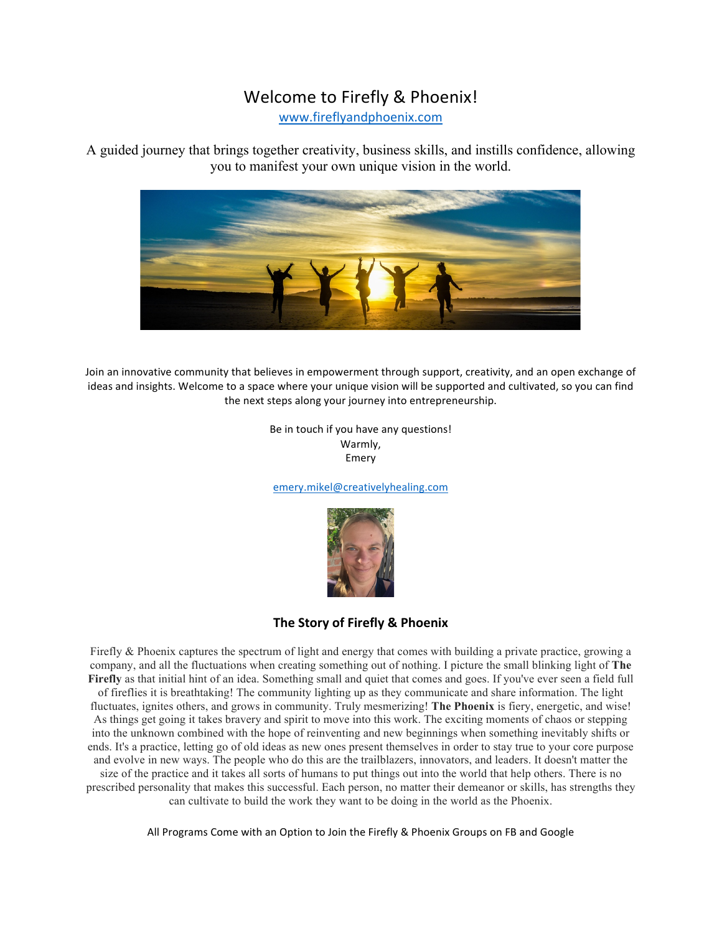# Welcome to Firefly & Phoenix!

www.fireflyandphoenix.com

A guided journey that brings together creativity, business skills, and instills confidence, allowing you to manifest your own unique vision in the world.



Join an innovative community that believes in empowerment through support, creativity, and an open exchange of ideas and insights. Welcome to a space where your unique vision will be supported and cultivated, so you can find the next steps along your journey into entrepreneurship.

> Be in touch if you have any questions! Warmly, Emery

emery.mikel@creativelyhealing.com



# **The Story of Firefly & Phoenix**

Firefly & Phoenix captures the spectrum of light and energy that comes with building a private practice, growing a company, and all the fluctuations when creating something out of nothing. I picture the small blinking light of **The Firefly** as that initial hint of an idea. Something small and quiet that comes and goes. If you've ever seen a field full of fireflies it is breathtaking! The community lighting up as they communicate and share information. The light fluctuates, ignites others, and grows in community. Truly mesmerizing! **The Phoenix** is fiery, energetic, and wise! As things get going it takes bravery and spirit to move into this work. The exciting moments of chaos or stepping into the unknown combined with the hope of reinventing and new beginnings when something inevitably shifts or ends. It's a practice, letting go of old ideas as new ones present themselves in order to stay true to your core purpose and evolve in new ways. The people who do this are the trailblazers, innovators, and leaders. It doesn't matter the size of the practice and it takes all sorts of humans to put things out into the world that help others. There is no prescribed personality that makes this successful. Each person, no matter their demeanor or skills, has strengths they can cultivate to build the work they want to be doing in the world as the Phoenix.

All Programs Come with an Option to Join the Firefly & Phoenix Groups on FB and Google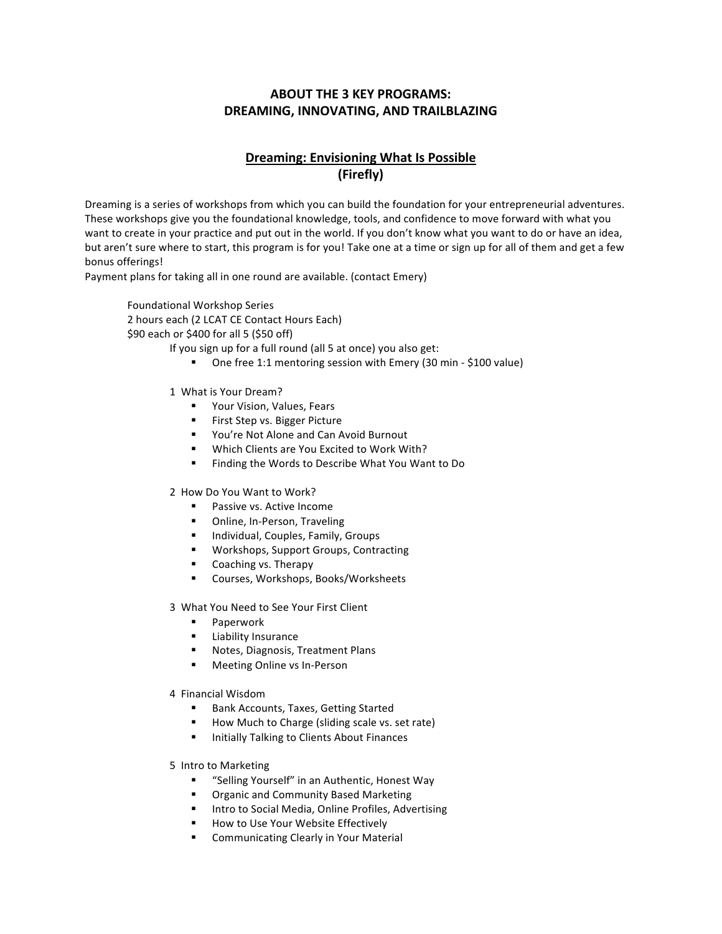### **ABOUT THE 3 KEY PROGRAMS: DREAMING, INNOVATING, AND TRAILBLAZING**

# **Dreaming: Envisioning What Is Possible (Firefly)**

Dreaming is a series of workshops from which you can build the foundation for your entrepreneurial adventures. These workshops give you the foundational knowledge, tools, and confidence to move forward with what you want to create in your practice and put out in the world. If you don't know what you want to do or have an idea, but aren't sure where to start, this program is for you! Take one at a time or sign up for all of them and get a few bonus offerings! 

Payment plans for taking all in one round are available. (contact Emery)

Foundational Workshop Series 2 hours each (2 LCAT CE Contact Hours Each) \$90 each or \$400 for all 5 (\$50 off)

If you sign up for a full round (all 5 at once) you also get:

- One free 1:1 mentoring session with Emery (30 min \$100 value)
- 1 What is Your Dream?
	- Your Vision, Values, Fears
	- First Step vs. Bigger Picture
	- You're Not Alone and Can Avoid Burnout
	- Which Clients are You Excited to Work With?
	- Finding the Words to Describe What You Want to Do
- 2 How Do You Want to Work?
	- Passive vs. Active Income
	- Online, In-Person, Traveling
	- **■** Individual, Couples, Family, Groups
	- Workshops, Support Groups, Contracting
	- Coaching vs. Therapy
	- Courses, Workshops, Books/Worksheets
- 3 What You Need to See Your First Client
	- Paperwork
	- **Example 1** Liability Insurance
	- Notes, Diagnosis, Treatment Plans
	- Meeting Online vs In-Person
- 4 Financial Wisdom
	- Bank Accounts, Taxes, Getting Started
	- How Much to Charge (sliding scale vs. set rate)
	- **■** Initially Talking to Clients About Finances
- 5 Intro to Marketing
	- § "Selling Yourself" in an Authentic, Honest Way
	- Organic and Community Based Marketing
	- Intro to Social Media, Online Profiles, Advertising
	- How to Use Your Website Effectively
	- Communicating Clearly in Your Material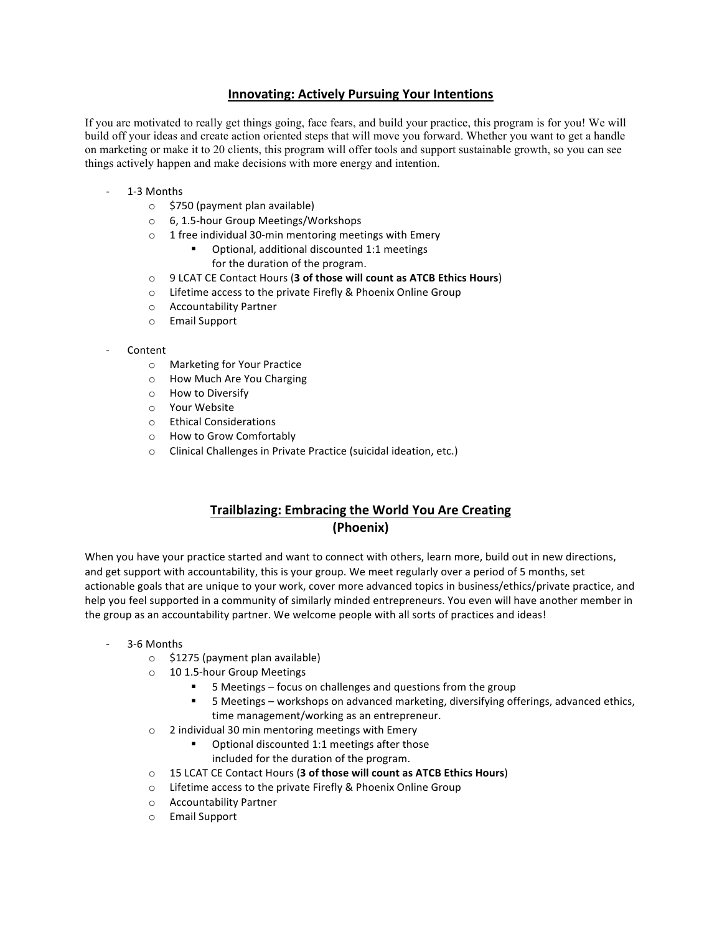### **Innovating: Actively Pursuing Your Intentions**

If you are motivated to really get things going, face fears, and build your practice, this program is for you! We will build off your ideas and create action oriented steps that will move you forward. Whether you want to get a handle on marketing or make it to 20 clients, this program will offer tools and support sustainable growth, so you can see things actively happen and make decisions with more energy and intention.

- 1-3 Months
	- $\circ$  \$750 (payment plan available)
	- o 6, 1.5-hour Group Meetings/Workshops
	- $\circ$  1 free individual 30-min mentoring meetings with Emery
		- Optional, additional discounted 1:1 meetings for the duration of the program.
	- o 9 LCAT CE Contact Hours (3 of those will count as ATCB Ethics Hours)
	- $\circ$  Lifetime access to the private Firefly & Phoenix Online Group
	- o Accountability Partner
	- $\circ$  Email Support
- Content
	- o Marketing for Your Practice
	- o How Much Are You Charging
	- o How to Diversify
	- o Your Website
	- o Ethical Considerations
	- o How to Grow Comfortably
	- $\circ$  Clinical Challenges in Private Practice (suicidal ideation, etc.)

### **Trailblazing: Embracing the World You Are Creating (Phoenix)**

When you have your practice started and want to connect with others, learn more, build out in new directions, and get support with accountability, this is your group. We meet regularly over a period of 5 months, set actionable goals that are unique to your work, cover more advanced topics in business/ethics/private practice, and help you feel supported in a community of similarly minded entrepreneurs. You even will have another member in the group as an accountability partner. We welcome people with all sorts of practices and ideas!

- 3-6 Months
	- $\circ$  \$1275 (payment plan available)
	- $\circ$  10 1.5-hour Group Meetings
		- 5 Meetings focus on challenges and questions from the group
		- 5 Meetings workshops on advanced marketing, diversifying offerings, advanced ethics, time management/working as an entrepreneur.
	- $\circ$  2 individual 30 min mentoring meetings with Emery
		- Optional discounted 1:1 meetings after those included for the duration of the program.
	- o 15 LCAT CE Contact Hours (3 of those will count as ATCB Ethics Hours)
	- $\circ$  Lifetime access to the private Firefly & Phoenix Online Group
	- o Accountability Partner
	- o Email Support